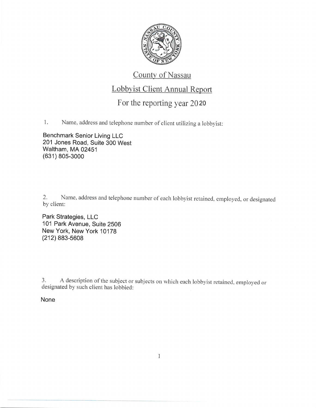

## County of Nassau

## Lobbyist Client Annual Report

## For the reporting year 2020

Name, address and telephone number of client utilizing a lobbyist: 1.

**Benchmark Senior Living LLC** 201 Jones Road, Suite 300 West Waltham, MA 02451 (631) 805-3000

Name, address and telephone number of each lobbyist retained, employed, or designated 2. by client:

Park Strategies, LLC 101 Park Avenue, Suite 2506 New York, New York 10178  $(212)$  883-5608

A description of the subject or subjects on which each lobbyist retained, employed or 3. designated by such client has lobbied:

## None

 $\mathbf{1}$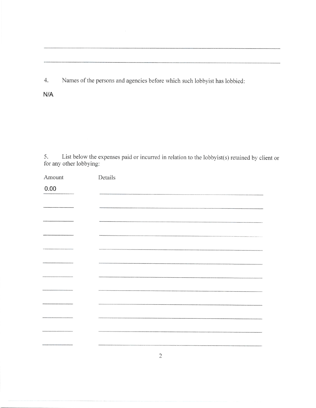4. Names of the persons and agencies before which such lobbyist has lobbied:

N/A

5. List below the expenses paid or incurred in relation to the lobbyist(s) retained by client or for any other lobbying:

| Amount                | Details       |
|-----------------------|---------------|
| 0.00                  |               |
|                       |               |
|                       |               |
|                       |               |
| ,,,,,,,,,,,,,,,,,,,,, |               |
|                       |               |
|                       | ------------- |
|                       |               |
|                       |               |
|                       |               |
|                       |               |
|                       |               |
|                       |               |